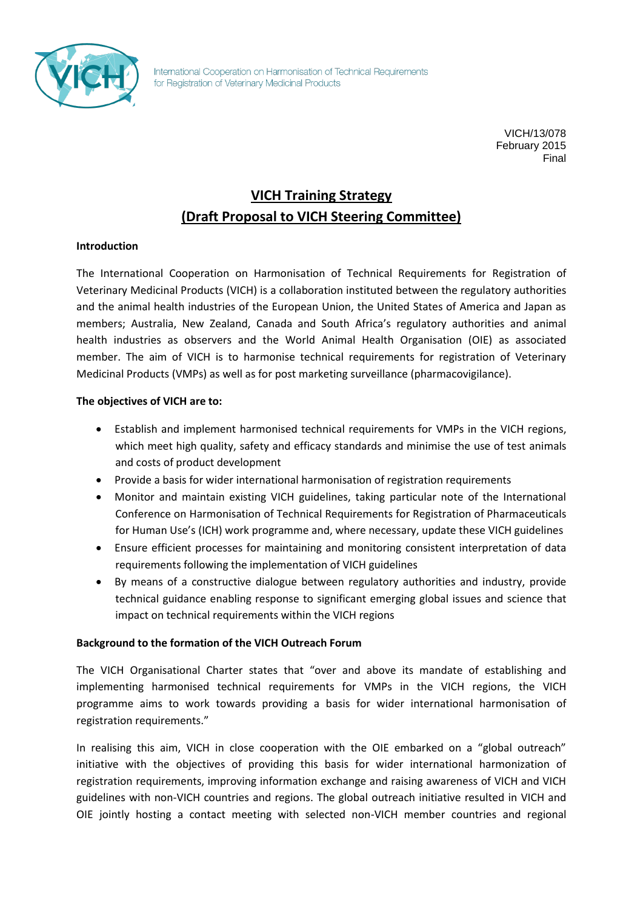

International Cooperation on Harmonisation of Technical Requirements for Registration of Veterinary Medicinal Products

> VICH/13/078 February 2015 Final

# **VICH Training Strategy (Draft Proposal to VICH Steering Committee)**

#### **Introduction**

The International Cooperation on Harmonisation of Technical Requirements for Registration of Veterinary Medicinal Products (VICH) is a collaboration instituted between the regulatory authorities and the animal health industries of the European Union, the United States of America and Japan as members; Australia, New Zealand, Canada and South Africa's regulatory authorities and animal health industries as observers and the World Animal Health Organisation (OIE) as associated member. The aim of VICH is to harmonise technical requirements for registration of Veterinary Medicinal Products (VMPs) as well as for post marketing surveillance (pharmacovigilance).

## **The objectives of VICH are to:**

- Establish and implement harmonised technical requirements for VMPs in the VICH regions, which meet high quality, safety and efficacy standards and minimise the use of test animals and costs of product development
- Provide a basis for wider international harmonisation of registration requirements
- Monitor and maintain existing VICH guidelines, taking particular note of the International Conference on Harmonisation of Technical Requirements for Registration of Pharmaceuticals for Human Use's (ICH) work programme and, where necessary, update these VICH guidelines
- Ensure efficient processes for maintaining and monitoring consistent interpretation of data requirements following the implementation of VICH guidelines
- By means of a constructive dialogue between regulatory authorities and industry, provide technical guidance enabling response to significant emerging global issues and science that impact on technical requirements within the VICH regions

## **Background to the formation of the VICH Outreach Forum**

The VICH Organisational Charter states that "over and above its mandate of establishing and implementing harmonised technical requirements for VMPs in the VICH regions, the VICH programme aims to work towards providing a basis for wider international harmonisation of registration requirements."

In realising this aim, VICH in close cooperation with the OIE embarked on a "global outreach" initiative with the objectives of providing this basis for wider international harmonization of registration requirements, improving information exchange and raising awareness of VICH and VICH guidelines with non-VICH countries and regions. The global outreach initiative resulted in VICH and OIE jointly hosting a contact meeting with selected non-VICH member countries and regional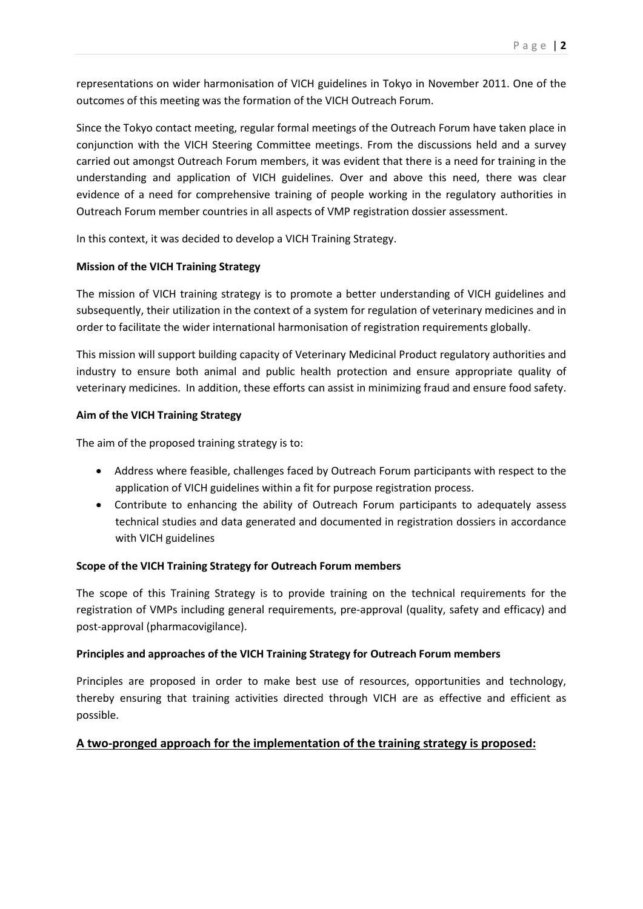representations on wider harmonisation of VICH guidelines in Tokyo in November 2011. One of the outcomes of this meeting was the formation of the VICH Outreach Forum.

Since the Tokyo contact meeting, regular formal meetings of the Outreach Forum have taken place in conjunction with the VICH Steering Committee meetings. From the discussions held and a survey carried out amongst Outreach Forum members, it was evident that there is a need for training in the understanding and application of VICH guidelines. Over and above this need, there was clear evidence of a need for comprehensive training of people working in the regulatory authorities in Outreach Forum member countries in all aspects of VMP registration dossier assessment.

In this context, it was decided to develop a VICH Training Strategy.

## **Mission of the VICH Training Strategy**

The mission of VICH training strategy is to promote a better understanding of VICH guidelines and subsequently, their utilization in the context of a system for regulation of veterinary medicines and in order to facilitate the wider international harmonisation of registration requirements globally.

This mission will support building capacity of Veterinary Medicinal Product regulatory authorities and industry to ensure both animal and public health protection and ensure appropriate quality of veterinary medicines. In addition, these efforts can assist in minimizing fraud and ensure food safety.

## **Aim of the VICH Training Strategy**

The aim of the proposed training strategy is to:

- Address where feasible, challenges faced by Outreach Forum participants with respect to the application of VICH guidelines within a fit for purpose registration process.
- Contribute to enhancing the ability of Outreach Forum participants to adequately assess technical studies and data generated and documented in registration dossiers in accordance with VICH guidelines

# **Scope of the VICH Training Strategy for Outreach Forum members**

The scope of this Training Strategy is to provide training on the technical requirements for the registration of VMPs including general requirements, pre-approval (quality, safety and efficacy) and post-approval (pharmacovigilance).

## **Principles and approaches of the VICH Training Strategy for Outreach Forum members**

Principles are proposed in order to make best use of resources, opportunities and technology, thereby ensuring that training activities directed through VICH are as effective and efficient as possible.

# **A two-pronged approach for the implementation of the training strategy is proposed:**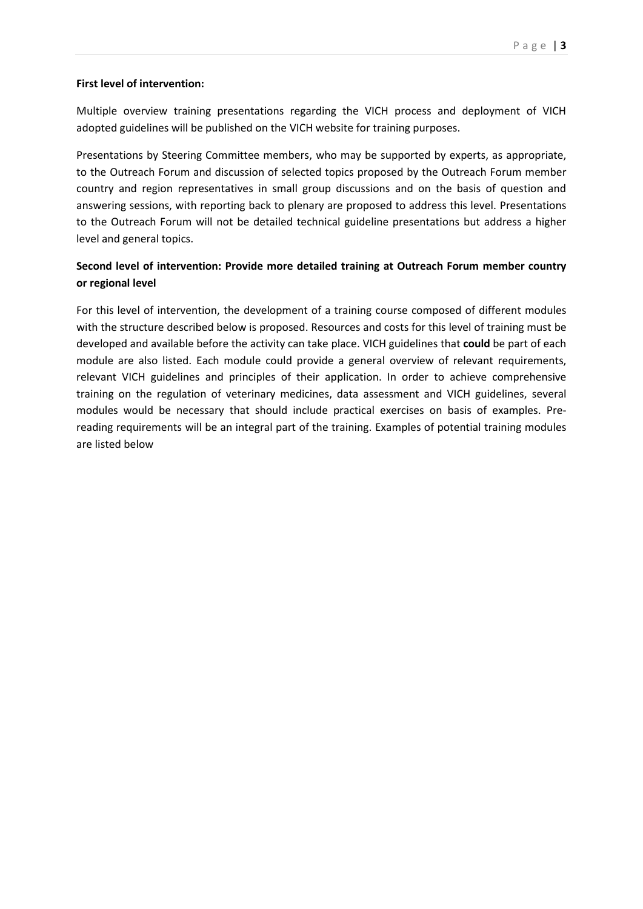## **First level of intervention:**

Multiple overview training presentations regarding the VICH process and deployment of VICH adopted guidelines will be published on the VICH website for training purposes.

Presentations by Steering Committee members, who may be supported by experts, as appropriate, to the Outreach Forum and discussion of selected topics proposed by the Outreach Forum member country and region representatives in small group discussions and on the basis of question and answering sessions, with reporting back to plenary are proposed to address this level. Presentations to the Outreach Forum will not be detailed technical guideline presentations but address a higher level and general topics.

## **Second level of intervention: Provide more detailed training at Outreach Forum member country or regional level**

For this level of intervention, the development of a training course composed of different modules with the structure described below is proposed. Resources and costs for this level of training must be developed and available before the activity can take place. VICH guidelines that **could** be part of each module are also listed. Each module could provide a general overview of relevant requirements, relevant VICH guidelines and principles of their application. In order to achieve comprehensive training on the regulation of veterinary medicines, data assessment and VICH guidelines, several modules would be necessary that should include practical exercises on basis of examples. Prereading requirements will be an integral part of the training. Examples of potential training modules are listed below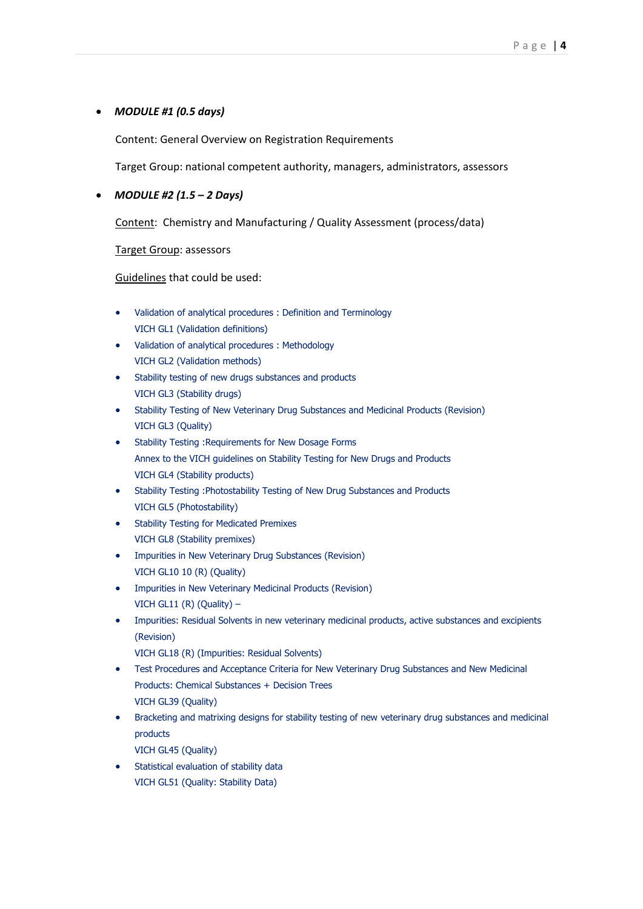#### *MODULE #1 (0.5 days)*

Content: General Overview on Registration Requirements

Target Group: national competent authority, managers, administrators, assessors

#### *MODULE #2 (1.5 – 2 Days)*

Content: Chemistry and Manufacturing / Quality Assessment (process/data)

Target Group: assessors

Guidelines that could be used:

- Validation of analytical procedures : Definition and Terminology VICH GL1 (Validation definitions)
- Validation of analytical procedures : Methodology VICH GL2 (Validation methods)
- Stability testing of new drugs substances and products VICH GL3 (Stability drugs)
- Stability Testing of New Veterinary Drug Substances and Medicinal Products (Revision) VICH GL3 (Quality)
- Stability Testing :Requirements for New Dosage Forms Annex to the VICH guidelines on Stability Testing for New Drugs and Products VICH GL4 (Stability products)
- Stability Testing :Photostability Testing of New Drug Substances and Products VICH GL5 (Photostability)
- **•** Stability Te[s](http://www.vichsec.org/pdf/gl07_st3.pdf)ting for Medicated Premixes VICH GL8 (Stability premixes)
- Impurities in New Veterinary Drug Substances (Revision) VICH GL10 10 (R) (Quality)
- Impurities in New Veterinary Medicinal Products (Revision) VICH GL11 (R) (Quality)  $-$
- Impurities: Residual Solvents in new veterinary medicinal products, active substances and excipients (Revision)
	- VICH GL18 (R) (Impurities: Residual Solvents)
- Test Procedures and Acceptance Criteria for New Veterinary Drug Substances and New Medicinal Products: Chemical Substances + [Decision Trees](http://www.vichsec.org/pdf/GL39-DecisionTrees.ppt) VICH GL39 (Quality)
- Bracketing and matrixing designs for stability testing of new veterinary drug substances and medicinal products VICH GL45 (Quality)
- Statistical evaluation of stability data VICH GL51 (Quality: Stability Data)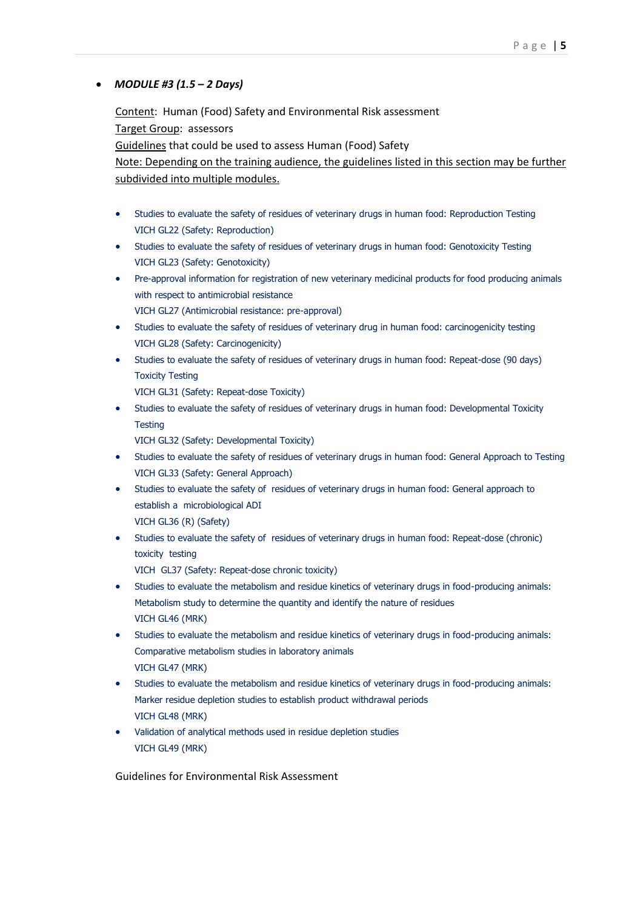## *MODULE #3 (1.5 – 2 Days)*

Content: Human (Food) Safety and Environmental Risk assessment Target Group: assessors Guidelines that could be used to assess Human (Food) Safety Note: Depending on the training audience, the guidelines listed in this section may be further subdivided into multiple modules.

- Studies to evaluate the safety of residues of veterinary drugs in human food: Reproduction Testing VICH GL22 (Safety: Reproduction)
- Studies to evaluate the safety of residues of veterinary drugs in human food: Genotoxicity Testing VICH GL23 (Safety: Genotoxicity)
- Pre-approval information for registration of new veterinary medicinal products for food producing animals with respect to antimicrobial resistance VICH GL27 (Antimicrobial resistance: pre-approval)
- Studies to evaluate the safety of residues of veterinary drug in human food: carcinogenicity testing VICH GL28 (Safety: Carcinogenicity)
- Studies to evaluate the safety of residues of veterinary drugs in human food: Repeat-dose (90 days) Toxicity Testing

VICH GL31 (Safety: Repeat-dose Toxicity)

 Studies to evaluate the safety of residues of veterinary drugs in human food: Developmental Toxicity **Testing** 

VICH GL32 (Safety: Developmental Toxicity)

- Studies to evaluate the safety of residues of veterinary drugs in human food: General Approach to Testing VICH GL33 (Safety: General Approach)
- Studies to evaluate the safety of residues of veterinary drugs in human food: General approach to establish a microbiological ADI VICH GL36 (R) (Safety)
- Studies to evaluate the safety of residues of veterinary drugs in human food: Repeat-dose (chronic) toxicity testing

VICH GL37 (Safety: Repeat-dose chronic toxicity)

- Studies to evaluate the metabolism and residue kinetics of veterinary drugs in food-producing animals: Metabolism study to determine the quantity and identify the nature of residues VICH GL46 (MRK)
- Studies to evaluate the metabolism and residue kinetics of veterinary drugs in food-producing animals: Comparative metabolism studies in laboratory animals VICH GL47 (MRK)
- Studies to evaluate the metabolism and residue kinetics of veterinary drugs in food-producing animals: Marker residue depletion studies to establish product withdrawal periods VICH GL48 (MRK)
- Validation of analytical methods used in residue depletion studies VICH GL49 (MRK)

Guidelines for Environmental Risk Assessment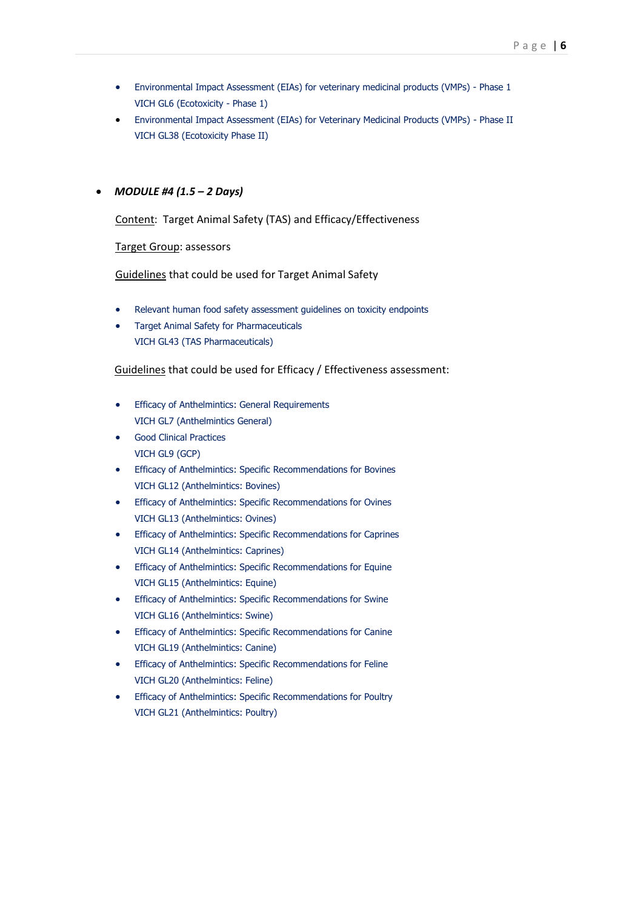- Environmental Impact Assessment (EIAs) for veterinary medicinal products (VMPs) Phase 1 VICH GL6 (Ecotoxicity - Phase 1)
- Environmental Impact Assessment (EIAs) for Veterinary Medicinal Products (VMPs) Phase II VICH GL38 (Ecotoxicity Phase II)

#### *MODULE #4 (1.5 – 2 Days)*

Content: Target Animal Safety (TAS) and Efficacy/Effectiveness

Target Group: assessors

Guidelines that could be used for Target Animal Safety

- Relevant human food safety assessment guidelines on toxicity endpoints
- Target Animal Safety for Pharmaceuticals VICH GL43 (TAS Pharmaceuticals)

#### Guidelines that could be used for Efficacy / Effectiveness assessment:

- **•** Efficacy of Anthelmintics: General Requirements VICH GL7 (Anthelmintics General)
- Good Clinical Practices VICH GL9 (GCP)
- **•** Efficacy of Anthelmintics: Specific Recommendations for Bovines VICH GL12 (Anthelmintics: Bovines)
- **•** Efficacy of Anthelmintics: Specific Recommendations for Ovines VICH GL13 (Anthelmintics: Ovines)
- **•** Efficacy of Anthelmintics: Specific Recommendations for Caprines VICH GL14 (Anthelmintics: Caprines)
- **•** Efficacy of Anthelmintics: Specific Recommendations for Equine VICH GL15 (Anthelmintics: Equine)
- **•** Efficacy of Anthelmintics: Specific Recommendations for Swine VICH GL16 (Anthelmintics: Swine)
- **•** Efficacy of Anthelmintics: Specific Recommendations for Canine VICH GL19 (Anthelmintics: Canine)
- **•** Efficacy of Anthelmintics: Specific Recommendations for Feline VICH GL20 (Anthelmintics: Feline)
- **•** Efficacy of Anthelmintics: Specific Recommendations for Poultry VICH GL21 (Anthelmintics: Poultry)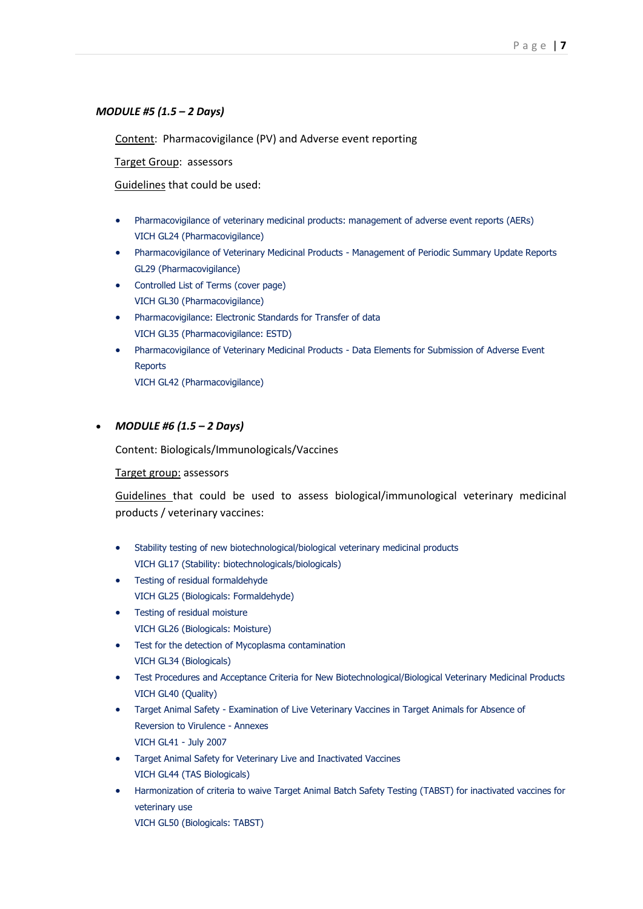#### *MODULE #5 (1.5 – 2 Days)*

Content: Pharmacovigilance (PV) and Adverse event reporting

Target Group: assessors

Guidelines that could be used:

- Pharmacovigilance of veterinary medicinal products: management of adverse event reports (AERs) VICH GL24 (Pharmacovigilance)
- Pharmacovigilance of Veterinary Medicinal Products Management of Periodic Summary Update Reports GL29 (Pharmacovigilance)
- Controlled List of Terms [\(cover page\)](http://www.vichsec.org/en/GL30-ST7_cover.pdf) VICH GL30 (Pharmacovigilance)
- Pharmacovigilance: Electronic Standards for Transfer of data VICH GL35 (Pharmacovigilance: ESTD)
- Pharmacovigilance of Veterinary Medicinal Products Data Elements for Submission of Adverse Event **Reports**

VICH GL42 (Pharmacovigilance)

#### *MODULE #6 (1.5 – 2 Days)*

Content: Biologicals/Immunologicals/Vaccines

#### Target group: assessors

Guidelines that could be used to assess biological/immunological veterinary medicinal products / veterinary vaccines:

- Stability testing of new biotechnological/biological veterinary medicinal products VICH GL17 (Stability: biotechnologicals/biologicals)
- Testing of residual formaldehyde VICH GL25 (Biologicals: Formaldehyde)
- Testing of residual moisture VICH GL26 (Biologicals: Moisture)
- Test for the detection of Mycoplasma contamination VICH GL34 (Biologicals)
- Test Procedures and Acceptance Criteria for New Biotechnological/Biological Veterinary Medicinal Products VICH GL40 (Quality)
- Target Animal Safety Examination of Live Veterinary Vaccines in Target Animals for Absence of Reversion to Virulence - [Annexes](http://www.vichsec.org/pdf/0807/GL41-st6_Appendix.tif) VICH GL41 - July 2007
- Target Animal Safety for Veterinary Live and Inactivated Vaccines VICH GL44 (TAS Biologicals)
- Harmonization of criteria to waive Target Animal Batch Safety Testing (TABST) for inactivated vaccines for veterinary use

VICH GL50 (Biologicals: TABST)